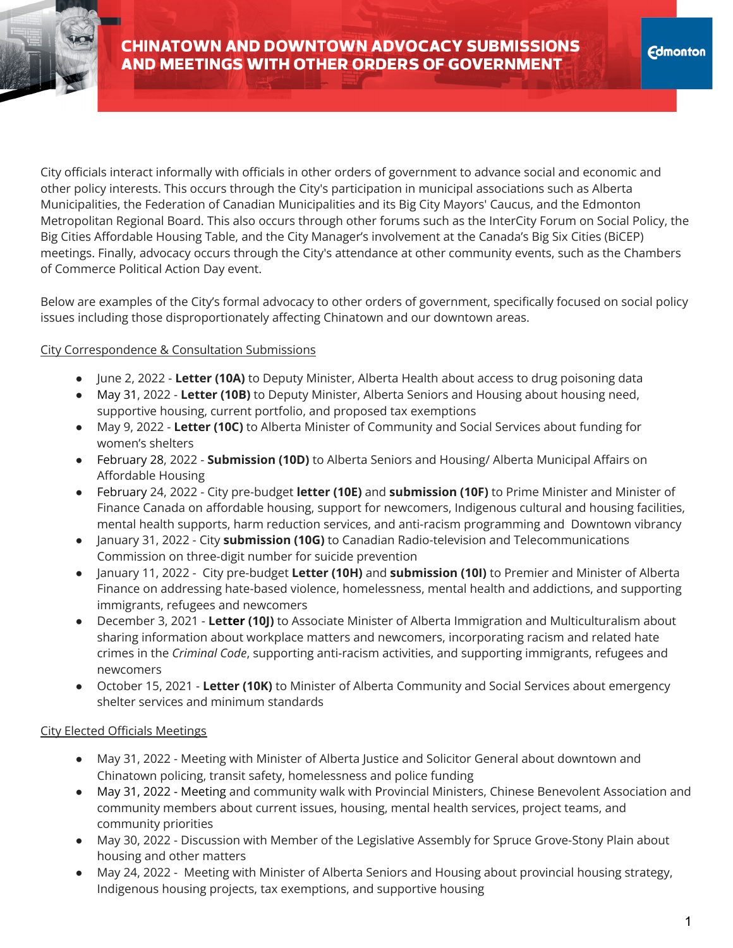City officials interact informally with officials in other orders of government to advance social and economic and other policy interests. This occurs through the City's participation in municipal associations such as Alberta Municipalities, the Federation of Canadian Municipalities and its Big City Mayors' Caucus, and the Edmonton Metropolitan Regional Board. This also occurs through other forums such as the InterCity Forum on Social Policy, the Big Cities Affordable Housing Table, and the City Manager's involvement at the Canada's Big Six Cities (BiCEP) meetings. Finally, advocacy occurs through the City's attendance at other community events, such as the Chambers of Commerce Political Action Day event.

Below are examples of the City's formal advocacy to other orders of government, specifically focused on social policy issues including those disproportionately affecting Chinatown and our downtown areas.

## City Correspondence & Consultation Submissions

- June 2, 2022 **Letter (10A)** to Deputy Minister, Alberta Health about access to drug poisoning data
- May 31, 2022 **Letter (10B)** to Deputy Minister, Alberta Seniors and Housing about housing need, supportive housing, current portfolio, and proposed tax exemptions
- May 9, 2022 **Letter (10C)** to Alberta Minister of Community and Social Services about funding for women's shelters
- February 28, 2022 **Submission (10D)** to Alberta Seniors and Housing/ Alberta Municipal Affairs on Affordable Housing
- February 24, 2022 City pre-budget **letter (10E)** and **submission (10F)** to Prime Minister and Minister of Finance Canada on affordable housing, support for newcomers, Indigenous cultural and housing facilities, mental health supports, harm reduction services, and anti-racism programming and Downtown vibrancy
- January 31, 2022 City **submission (10G)** to Canadian Radio-television and Telecommunications Commission on three-digit number for suicide prevention
- January 11, 2022 City pre-budget **Letter (10H)** and **submission (10I)** to Premier and Minister of Alberta Finance on addressing hate-based violence, homelessness, mental health and addictions, and supporting immigrants, refugees and newcomers
- December 3, 2021 **Letter (10J)** to Associate Minister of Alberta Immigration and Multiculturalism about sharing information about workplace matters and newcomers, incorporating racism and related hate crimes in the *Criminal Code*, supporting anti-racism activities, and supporting immigrants, refugees and newcomers
- October 15, 2021 **Letter (10K)** to Minister of Alberta Community and Social Services about emergency shelter services and minimum standards

## City Elected Officials Meetings

- May 31, 2022 Meeting with Minister of Alberta Justice and Solicitor General about downtown and Chinatown policing, transit safety, homelessness and police funding
- May 31, 2022 Meeting and community walk with Provincial Ministers, Chinese Benevolent Association and community members about current issues, housing, mental health services, project teams, and community priorities
- May 30, 2022 Discussion with Member of the Legislative Assembly for Spruce Grove-Stony Plain about housing and other matters
- May 24, 2022 Meeting with Minister of Alberta Seniors and Housing about provincial housing strategy, Indigenous housing projects, tax exemptions, and supportive housing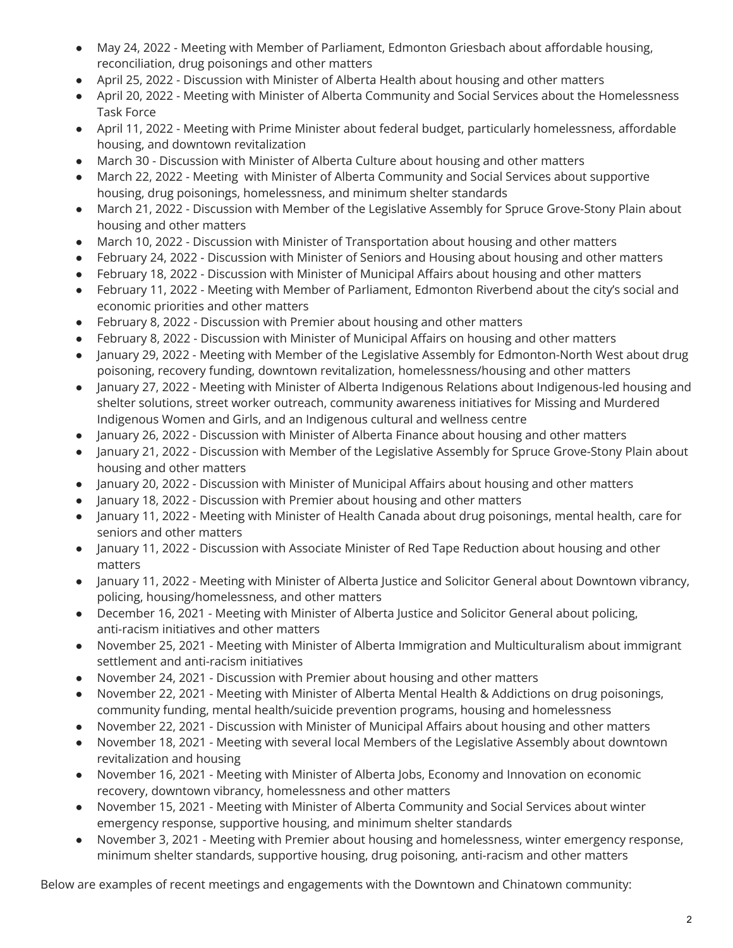- May 24, 2022 Meeting with Member of Parliament, Edmonton Griesbach about affordable housing, reconciliation, drug poisonings and other matters
- April 25, 2022 Discussion with Minister of Alberta Health about housing and other matters
- April 20, 2022 Meeting with Minister of Alberta Community and Social Services about the Homelessness Task Force
- April 11, 2022 Meeting with Prime Minister about federal budget, particularly homelessness, affordable housing, and downtown revitalization
- March 30 Discussion with Minister of Alberta Culture about housing and other matters
- March 22, 2022 Meeting with Minister of Alberta Community and Social Services about supportive housing, drug poisonings, homelessness, and minimum shelter standards
- March 21, 2022 Discussion with Member of the Legislative Assembly for Spruce Grove-Stony Plain about housing and other matters
- March 10, 2022 Discussion with Minister of Transportation about housing and other matters
- February 24, 2022 Discussion with Minister of Seniors and Housing about housing and other matters
- February 18, 2022 Discussion with Minister of Municipal Affairs about housing and other matters
- February 11, 2022 Meeting with Member of Parliament, Edmonton Riverbend about the city's social and economic priorities and other matters
- February 8, 2022 Discussion with Premier about housing and other matters
- February 8, 2022 Discussion with Minister of Municipal Affairs on housing and other matters
- January 29, 2022 Meeting with Member of the Legislative Assembly for Edmonton-North West about drug poisoning, recovery funding, downtown revitalization, homelessness/housing and other matters
- January 27, 2022 Meeting with Minister of Alberta Indigenous Relations about Indigenous-led housing and shelter solutions, street worker outreach, community awareness initiatives for Missing and Murdered Indigenous Women and Girls, and an Indigenous cultural and wellness centre
- January 26, 2022 Discussion with Minister of Alberta Finance about housing and other matters
- January 21, 2022 Discussion with Member of the Legislative Assembly for Spruce Grove-Stony Plain about housing and other matters
- January 20, 2022 Discussion with Minister of Municipal Affairs about housing and other matters
- January 18, 2022 Discussion with Premier about housing and other matters
- January 11, 2022 Meeting with Minister of Health Canada about drug poisonings, mental health, care for seniors and other matters
- January 11, 2022 Discussion with Associate Minister of Red Tape Reduction about housing and other matters
- January 11, 2022 Meeting with Minister of Alberta Justice and Solicitor General about Downtown vibrancy, policing, housing/homelessness, and other matters
- December 16, 2021 Meeting with Minister of Alberta Justice and Solicitor General about policing, anti-racism initiatives and other matters
- November 25, 2021 Meeting with Minister of Alberta Immigration and Multiculturalism about immigrant settlement and anti-racism initiatives
- November 24, 2021 Discussion with Premier about housing and other matters
- November 22, 2021 Meeting with Minister of Alberta Mental Health & Addictions on drug poisonings, community funding, mental health/suicide prevention programs, housing and homelessness
- November 22, 2021 Discussion with Minister of Municipal Affairs about housing and other matters
- November 18, 2021 Meeting with several local Members of the Legislative Assembly about downtown revitalization and housing
- November 16, 2021 Meeting with Minister of Alberta Jobs, Economy and Innovation on economic recovery, downtown vibrancy, homelessness and other matters
- November 15, 2021 Meeting with Minister of Alberta Community and Social Services about winter emergency response, supportive housing, and minimum shelter standards
- November 3, 2021 Meeting with Premier about housing and homelessness, winter emergency response, minimum shelter standards, supportive housing, drug poisoning, anti-racism and other matters

Below are examples of recent meetings and engagements with the Downtown and Chinatown community: